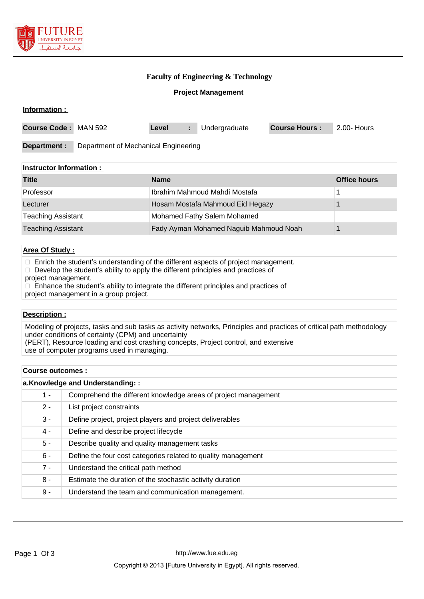

**Information :** 

## **Faculty of Engineering & Technology**

#### **Project Management**

| <b>Course Code: MAN 592</b> |                                      | Level |  | Undergraduate | <b>Course Hours:</b> | 2.00- Hours |
|-----------------------------|--------------------------------------|-------|--|---------------|----------------------|-------------|
| Department :                | Department of Mechanical Engineering |       |  |               |                      |             |

## **Instructor Information :**

| <b>Title</b>              | <b>Name</b>                            | <b>Office hours</b> |
|---------------------------|----------------------------------------|---------------------|
| Professor                 | Ibrahim Mahmoud Mahdi Mostafa          |                     |
| Lecturer                  | Hosam Mostafa Mahmoud Eid Hegazy       |                     |
| <b>Teaching Assistant</b> | Mohamed Fathy Salem Mohamed            |                     |
| <b>Teaching Assistant</b> | Fady Ayman Mohamed Naguib Mahmoud Noah |                     |

### **Area Of Study :**

 $\Box$  Enrich the student's understanding of the different aspects of project management.

 $\Box$  Develop the student's ability to apply the different principles and practices of

project management.

 $\Box$  Enhance the student's ability to integrate the different principles and practices of

project management in a group project.

## **Description :**

Modeling of projects, tasks and sub tasks as activity networks, Principles and practices of critical path methodology under conditions of certainty (CPM) and uncertainty (PERT), Resource loading and cost crashing concepts, Project control, and extensive

use of computer programs used in managing.

#### **Course outcomes :**

| a.Knowledge and Understanding:: |                                                                |  |  |
|---------------------------------|----------------------------------------------------------------|--|--|
| $1 -$                           | Comprehend the different knowledge areas of project management |  |  |
| $2 -$                           | List project constraints                                       |  |  |
| $3 -$                           | Define project, project players and project deliverables       |  |  |
| 4 -                             | Define and describe project lifecycle                          |  |  |
| $5 -$                           | Describe quality and quality management tasks                  |  |  |
| $6 -$                           | Define the four cost categories related to quality management  |  |  |
| $7 -$                           | Understand the critical path method                            |  |  |
| $8 -$                           | Estimate the duration of the stochastic activity duration      |  |  |
| 9 -                             | Understand the team and communication management.              |  |  |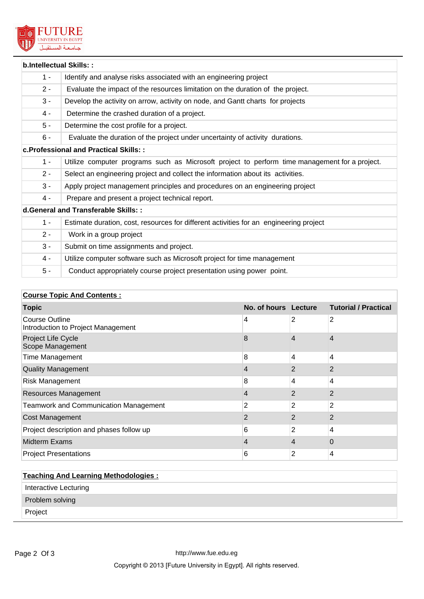

|                                      | b.Intellectual Skills::                                                                       |  |  |  |
|--------------------------------------|-----------------------------------------------------------------------------------------------|--|--|--|
| $1 -$                                | Identify and analyse risks associated with an engineering project                             |  |  |  |
| $2 -$                                | Evaluate the impact of the resources limitation on the duration of the project.               |  |  |  |
| $3 -$                                | Develop the activity on arrow, activity on node, and Gantt charts for projects                |  |  |  |
| $4 -$                                | Determine the crashed duration of a project.                                                  |  |  |  |
| $5 -$                                | Determine the cost profile for a project.                                                     |  |  |  |
| $6 -$                                | Evaluate the duration of the project under uncertainty of activity durations.                 |  |  |  |
|                                      | c. Professional and Practical Skills: :                                                       |  |  |  |
| $1 -$                                | Utilize computer programs such as Microsoft project to perform time management for a project. |  |  |  |
| $2 -$                                | Select an engineering project and collect the information about its activities.               |  |  |  |
| $3 -$                                | Apply project management principles and procedures on an engineering project                  |  |  |  |
| 4 -                                  | Prepare and present a project technical report.                                               |  |  |  |
| d.General and Transferable Skills: : |                                                                                               |  |  |  |
| $1 -$                                | Estimate duration, cost, resources for different activities for an engineering project        |  |  |  |
| $2 -$                                | Work in a group project                                                                       |  |  |  |
| $3 -$                                | Submit on time assignments and project.                                                       |  |  |  |
| $4 -$                                | Utilize computer software such as Microsoft project for time management                       |  |  |  |
| $5 -$                                | Conduct appropriately course project presentation using power point.                          |  |  |  |

# **Course Topic And Contents :**

| <b>Topic</b>                                                | No. of hours Lecture |   | <b>Tutorial / Practical</b> |
|-------------------------------------------------------------|----------------------|---|-----------------------------|
| <b>Course Outline</b><br>Introduction to Project Management | 4                    | 2 | 2                           |
| Project Life Cycle<br>Scope Management                      | 8                    | 4 | 4                           |
| <b>Time Management</b>                                      | 8                    | 4 | 4                           |
| <b>Quality Management</b>                                   | 4                    | 2 | 2                           |
| <b>Risk Management</b>                                      | 8                    | 4 | 4                           |
| <b>Resources Management</b>                                 | 4                    | 2 | 2                           |
| <b>Teamwork and Communication Management</b>                | $\overline{2}$       | 2 | 2                           |
| <b>Cost Management</b>                                      | 2                    | 2 | 2                           |
| Project description and phases follow up                    | 6                    | 2 | 4                           |
| <b>Midterm Exams</b>                                        | 4                    | 4 | 0                           |
| <b>Project Presentations</b>                                | 6                    | 2 | 4                           |

| <b>Teaching And Learning Methodologies:</b> |  |  |  |
|---------------------------------------------|--|--|--|
| Interactive Lecturing                       |  |  |  |
| Problem solving                             |  |  |  |
| Project                                     |  |  |  |